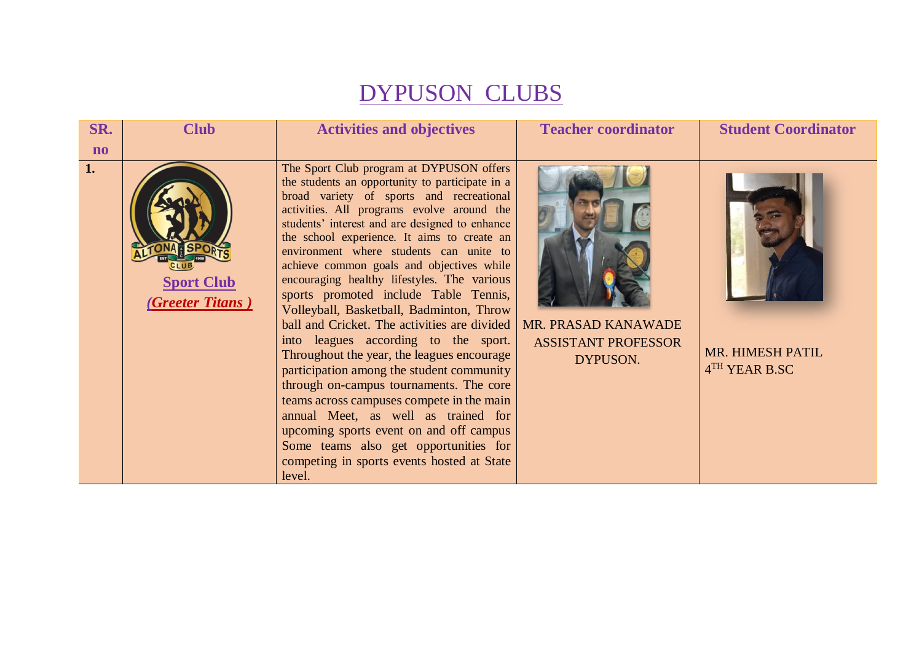## DYPUSON CLUBS

| SR.                    | <b>Club</b>                           | <b>Activities and objectives</b>                                                                                                                                                                                                                                                                                                                                                                                                                                                                                                                                                                                                                                                                                                                                                                                                                                                                                                                                                 | <b>Teacher coordinator</b>                                    | <b>Student Coordinator</b>        |
|------------------------|---------------------------------------|----------------------------------------------------------------------------------------------------------------------------------------------------------------------------------------------------------------------------------------------------------------------------------------------------------------------------------------------------------------------------------------------------------------------------------------------------------------------------------------------------------------------------------------------------------------------------------------------------------------------------------------------------------------------------------------------------------------------------------------------------------------------------------------------------------------------------------------------------------------------------------------------------------------------------------------------------------------------------------|---------------------------------------------------------------|-----------------------------------|
| $\mathbf{n}\mathbf{o}$ |                                       |                                                                                                                                                                                                                                                                                                                                                                                                                                                                                                                                                                                                                                                                                                                                                                                                                                                                                                                                                                                  |                                                               |                                   |
| 1.                     | <b>Sport Club</b><br>(Greeter Titans) | The Sport Club program at DYPUSON offers<br>the students an opportunity to participate in a<br>broad variety of sports and recreational<br>activities. All programs evolve around the<br>students' interest and are designed to enhance<br>the school experience. It aims to create an<br>environment where students can unite to<br>achieve common goals and objectives while<br>encouraging healthy lifestyles. The various<br>sports promoted include Table Tennis,<br>Volleyball, Basketball, Badminton, Throw<br>ball and Cricket. The activities are divided<br>into leagues according to the sport.<br>Throughout the year, the leagues encourage<br>participation among the student community<br>through on-campus tournaments. The core<br>teams across campuses compete in the main<br>annual Meet, as well as trained for<br>upcoming sports event on and off campus<br>Some teams also get opportunities for<br>competing in sports events hosted at State<br>level. | MR. PRASAD KANAWADE<br><b>ASSISTANT PROFESSOR</b><br>DYPUSON. | MR. HIMESH PATIL<br>4TH YEAR B.SC |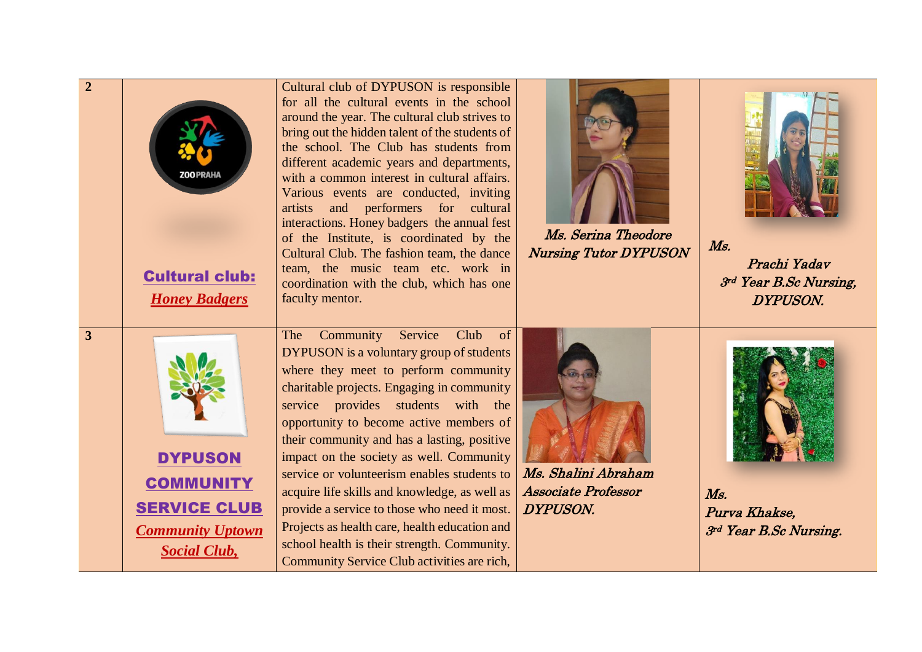| $\overline{2}$ | <b>Cultural club:</b><br><b>Honey Badgers</b>                                                               | Cultural club of DYPUSON is responsible<br>for all the cultural events in the school<br>around the year. The cultural club strives to<br>bring out the hidden talent of the students of<br>the school. The Club has students from<br>different academic years and departments,<br>with a common interest in cultural affairs.<br>Various events are conducted, inviting<br>and performers for cultural<br>artists<br>interactions. Honey badgers the annual fest<br>of the Institute, is coordinated by the<br>Cultural Club. The fashion team, the dance<br>team, the music team etc. work in<br>coordination with the club, which has one<br>faculty mentor. | Ms. Serina Theodore<br><b>Nursing Tutor DYPUSON</b>           | $M_{S.}$<br>Prachi Yadav<br>3rd Year B.Sc Nursing,<br><b>DYPUSON.</b> |
|----------------|-------------------------------------------------------------------------------------------------------------|----------------------------------------------------------------------------------------------------------------------------------------------------------------------------------------------------------------------------------------------------------------------------------------------------------------------------------------------------------------------------------------------------------------------------------------------------------------------------------------------------------------------------------------------------------------------------------------------------------------------------------------------------------------|---------------------------------------------------------------|-----------------------------------------------------------------------|
| $\mathbf{3}$   | <b>DYPUSON</b><br><b>COMMUNITY</b><br><b>SERVICE CLUB</b><br><b>Community Uptown</b><br><b>Social Club,</b> | Club<br>Community<br>Service<br>The<br>of<br><b>DYPUSON</b> is a voluntary group of students<br>where they meet to perform community<br>charitable projects. Engaging in community<br>service provides students with the<br>opportunity to become active members of<br>their community and has a lasting, positive<br>impact on the society as well. Community<br>service or volunteerism enables students to<br>acquire life skills and knowledge, as well as<br>provide a service to those who need it most.<br>Projects as health care, health education and<br>school health is their strength. Community.<br>Community Service Club activities are rich,  | Ms. Shalini Abraham<br><b>Associate Professor</b><br>DYPUSON. | $M_{S.}$<br>Purva Khakse,<br>3rd Year B.Sc Nursing.                   |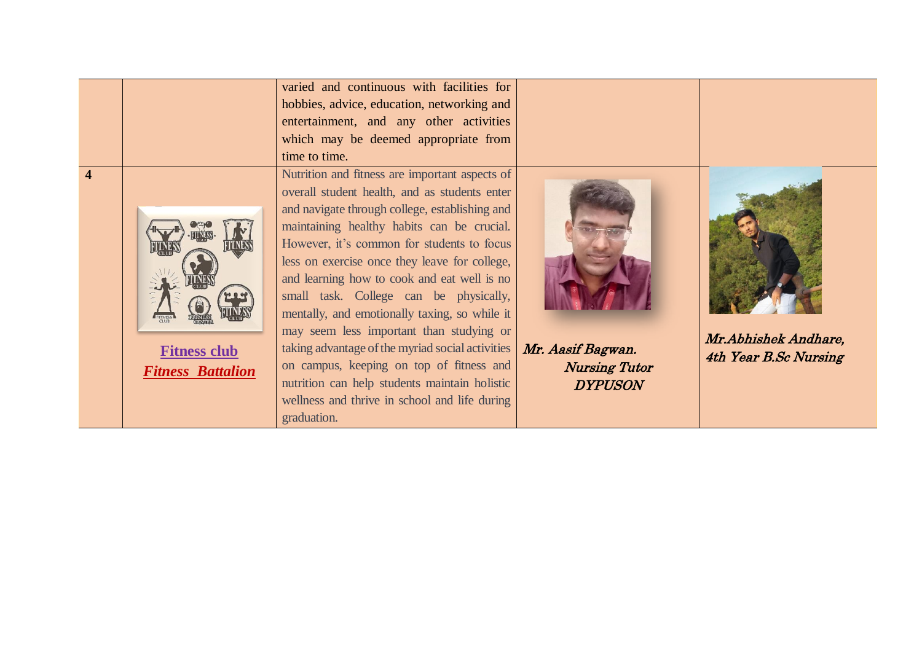|                                                 | varied and continuous with facilities for<br>hobbies, advice, education, networking and<br>entertainment, and any other activities<br>which may be deemed appropriate from<br>time to time.                                                                                                                                                                                                                                                                                                                                                                                                                                                                                                           |                                                             |                                               |
|-------------------------------------------------|-------------------------------------------------------------------------------------------------------------------------------------------------------------------------------------------------------------------------------------------------------------------------------------------------------------------------------------------------------------------------------------------------------------------------------------------------------------------------------------------------------------------------------------------------------------------------------------------------------------------------------------------------------------------------------------------------------|-------------------------------------------------------------|-----------------------------------------------|
| <b>Fitness club</b><br><b>Fitness Battalion</b> | Nutrition and fitness are important aspects of<br>overall student health, and as students enter<br>and navigate through college, establishing and<br>maintaining healthy habits can be crucial.<br>However, it's common for students to focus<br>less on exercise once they leave for college,<br>and learning how to cook and eat well is no<br>small task. College can be physically,<br>mentally, and emotionally taxing, so while it<br>may seem less important than studying or<br>taking advantage of the myriad social activities<br>on campus, keeping on top of fitness and<br>nutrition can help students maintain holistic<br>wellness and thrive in school and life during<br>graduation. | Mr. Aasif Bagwan.<br><b>Nursing Tutor</b><br><b>DYPUSON</b> | Mr.Abhishek Andhare,<br>4th Year B.Sc Nursing |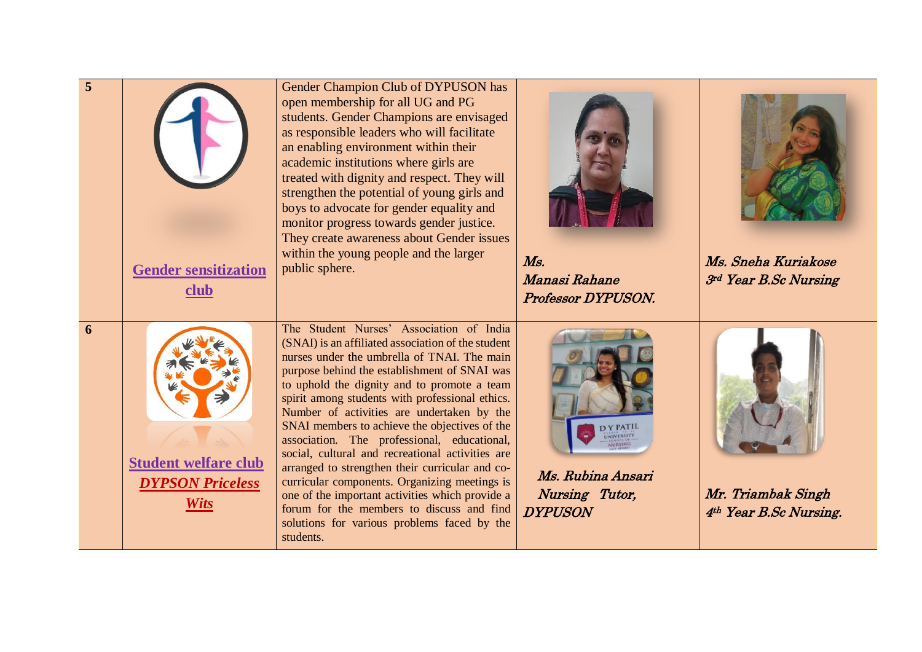| $\overline{5}$ | <b>Gender sensitization</b><br>club                                   | Gender Champion Club of DYPUSON has<br>open membership for all UG and PG<br>students. Gender Champions are envisaged<br>as responsible leaders who will facilitate<br>an enabling environment within their<br>academic institutions where girls are<br>treated with dignity and respect. They will<br>strengthen the potential of young girls and<br>boys to advocate for gender equality and<br>monitor progress towards gender justice.<br>They create awareness about Gender issues<br>within the young people and the larger<br>public sphere.                                                                                                                                                                                                                | $M_{S.}$<br>Manasi Rahane<br>Professor DYPUSON.                                        | Ms. Sneha Kuriakose<br>3rd Year B.Sc Nursing |
|----------------|-----------------------------------------------------------------------|-------------------------------------------------------------------------------------------------------------------------------------------------------------------------------------------------------------------------------------------------------------------------------------------------------------------------------------------------------------------------------------------------------------------------------------------------------------------------------------------------------------------------------------------------------------------------------------------------------------------------------------------------------------------------------------------------------------------------------------------------------------------|----------------------------------------------------------------------------------------|----------------------------------------------|
| 6              | <b>Student welfare club</b><br><b>DYPSON Priceless</b><br><b>Wits</b> | The Student Nurses' Association of India<br>(SNAI) is an affiliated association of the student<br>nurses under the umbrella of TNAI. The main<br>purpose behind the establishment of SNAI was<br>to uphold the dignity and to promote a team<br>spirit among students with professional ethics.<br>Number of activities are undertaken by the<br>SNAI members to achieve the objectives of the<br>association. The professional, educational,<br>social, cultural and recreational activities are<br>arranged to strengthen their curricular and co-<br>curricular components. Organizing meetings is<br>one of the important activities which provide a<br>forum for the members to discuss and find<br>solutions for various problems faced by the<br>students. | <b>DY PATIL</b><br>UNIVERSITY<br>Ms. Rubina Ansari<br>Nursing Tutor,<br><b>DYPUSON</b> | Mr. Triambak Singh<br>4th Year B.Sc Nursing. |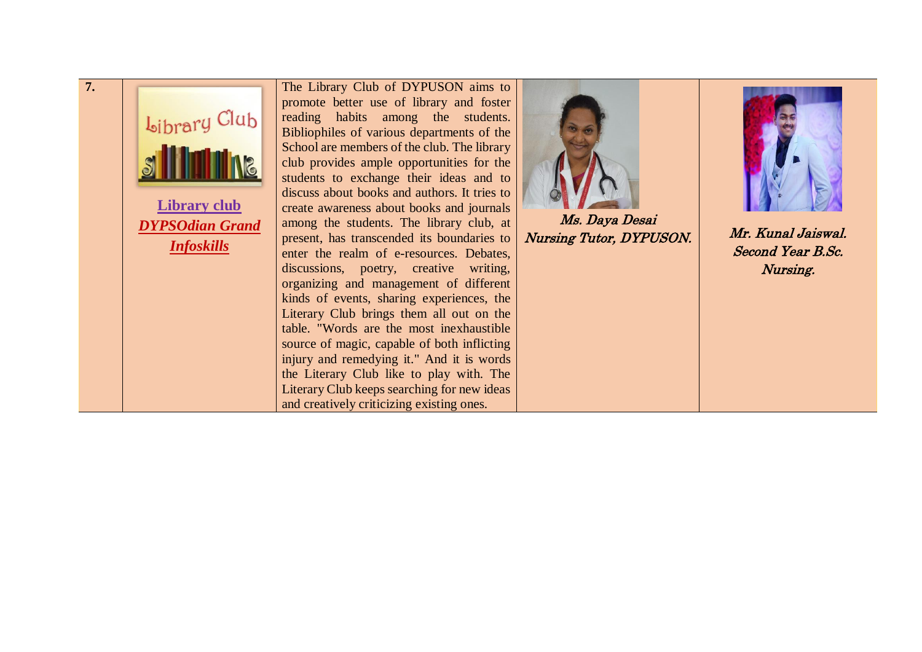| 7. | Library Club<br><b>Library club</b><br><b>DYPSOdian Grand</b><br><b>Infoskills</b> | The Library Club of DYPUSON aims to<br>promote better use of library and foster<br>reading habits among the students.<br>Bibliophiles of various departments of the<br>School are members of the club. The library<br>club provides ample opportunities for the<br>students to exchange their ideas and to<br>discuss about books and authors. It tries to<br>create awareness about books and journals<br>among the students. The library club, at<br>present, has transcended its boundaries to<br>enter the realm of e-resources. Debates,<br>discussions, poetry, creative writing,<br>organizing and management of different<br>kinds of events, sharing experiences, the<br>Literary Club brings them all out on the<br>table. "Words are the most inexhaustible<br>source of magic, capable of both inflicting<br>injury and remedying it." And it is words<br>the Literary Club like to play with. The<br>Literary Club keeps searching for new ideas<br>and creatively criticizing existing ones. | Ms. Daya Desai<br><b>Nursing Tutor, DYPUSON.</b> | Mr. Kunal Jaiswal.<br>Second Year B.Sc.<br>Nursing. |
|----|------------------------------------------------------------------------------------|------------------------------------------------------------------------------------------------------------------------------------------------------------------------------------------------------------------------------------------------------------------------------------------------------------------------------------------------------------------------------------------------------------------------------------------------------------------------------------------------------------------------------------------------------------------------------------------------------------------------------------------------------------------------------------------------------------------------------------------------------------------------------------------------------------------------------------------------------------------------------------------------------------------------------------------------------------------------------------------------------------|--------------------------------------------------|-----------------------------------------------------|
|----|------------------------------------------------------------------------------------|------------------------------------------------------------------------------------------------------------------------------------------------------------------------------------------------------------------------------------------------------------------------------------------------------------------------------------------------------------------------------------------------------------------------------------------------------------------------------------------------------------------------------------------------------------------------------------------------------------------------------------------------------------------------------------------------------------------------------------------------------------------------------------------------------------------------------------------------------------------------------------------------------------------------------------------------------------------------------------------------------------|--------------------------------------------------|-----------------------------------------------------|